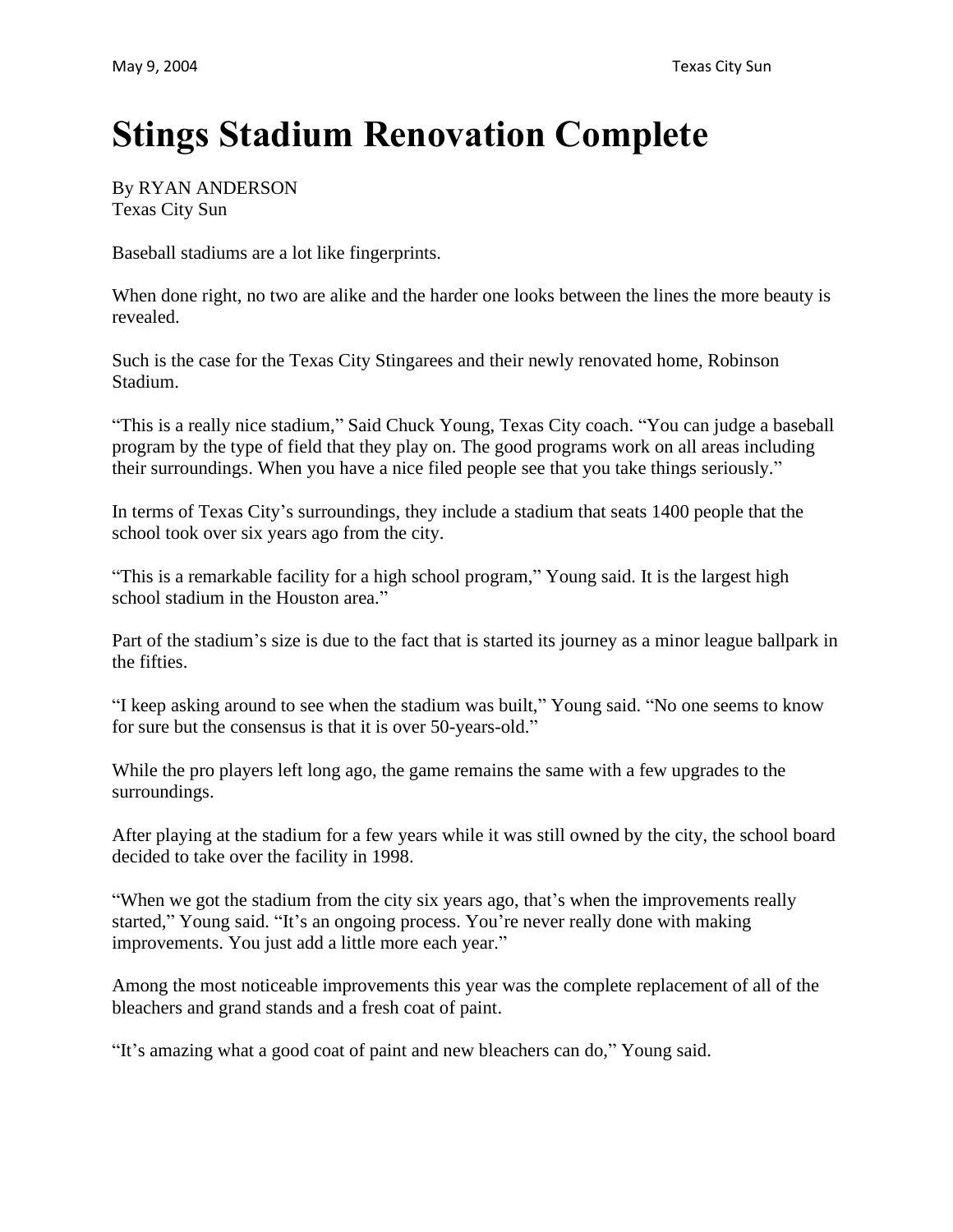## **Stings Stadium Renovation Complete**

By RYAN ANDERSON Texas City Sun

Baseball stadiums are a lot like fingerprints.

When done right, no two are alike and the harder one looks between the lines the more beauty is revealed.

Such is the case for the Texas City Stingarees and their newly renovated home, Robinson Stadium.

"This is a really nice stadium," Said Chuck Young, Texas City coach. "You can judge a baseball program by the type of field that they play on. The good programs work on all areas including their surroundings. When you have a nice filed people see that you take things seriously."

In terms of Texas City's surroundings, they include a stadium that seats 1400 people that the school took over six years ago from the city.

"This is a remarkable facility for a high school program," Young said. It is the largest high school stadium in the Houston area."

Part of the stadium's size is due to the fact that is started its journey as a minor league ballpark in the fifties.

"I keep asking around to see when the stadium was built," Young said. "No one seems to know for sure but the consensus is that it is over 50-years-old."

While the pro players left long ago, the game remains the same with a few upgrades to the surroundings.

After playing at the stadium for a few years while it was still owned by the city, the school board decided to take over the facility in 1998.

"When we got the stadium from the city six years ago, that's when the improvements really started," Young said. "It's an ongoing process. You're never really done with making improvements. You just add a little more each year."

Among the most noticeable improvements this year was the complete replacement of all of the bleachers and grand stands and a fresh coat of paint.

"It's amazing what a good coat of paint and new bleachers can do," Young said.